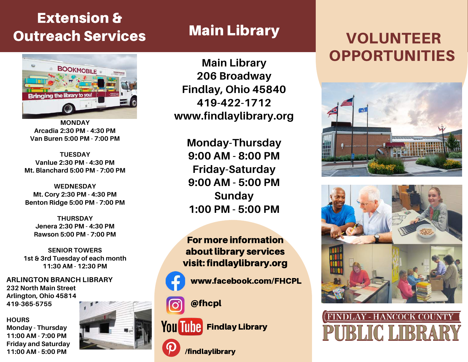## Extension & Outreach Services



**MONDAY Arcadia 2:30 PM - 4:30 PM Van Buren 5:00 PM - 7:00 PM**

**TUESDAY Vanlue 2:30 PM - 4:30 PM Mt. Blanchard 5:00 PM - 7:00 PM**

**WEDNESDAY Mt. Cory 2:30 PM - 4:30 PM Benton Ridge 5:00 PM - 7:00 PM**

**THURSDAY Jenera 2:30 PM - 4:30 PM Rawson 5:00 PM - 7:00 PM**

**SENIOR TOWERS 1st & 3rd Tuesday of each month 11:30 AM - 12:30 PM**

**ARLINGTON BRANCH LIBRARY 232 North Main Street Arlington, Ohio 45814 419-365-5755**

**HOURS**

**Monday - Thursday 11:00 AM - 7:00 PM Friday and Saturday 11:00 AM - 5:00 PM**



## Main Library

**Main Library 206 Broadway Findlay, Ohio 45840 419-422-1712 www.findlaylibrary.org**

**Monday-Thursday 9:00 AM - 8:00 PM Friday-Saturday 9:00 AM - 5:00 PM Sunday 1:00 PM - 5:00 PM**

For more information about library services visit: findlaylibrary.org

www.facebook.com/FHCPL



@fhcpl





/findlaylibrary

## VOLUNTEER OPPORTUNITIES





## **INDLAY - HANCOCK COUNT PUBLIC LIBR**